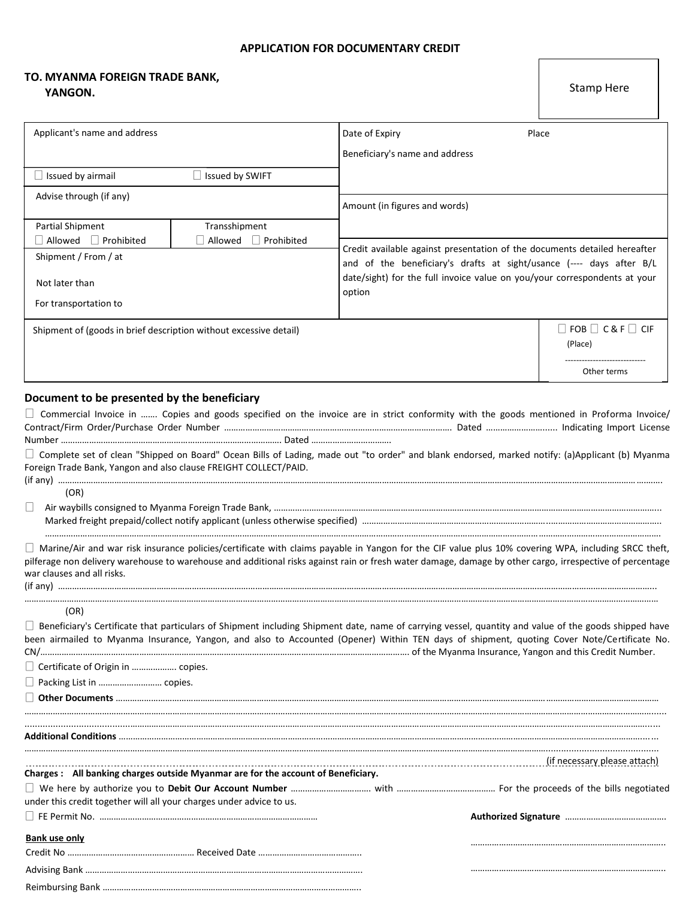## **APPLICATION FOR DOCUMENTARY CREDIT**

## **TO. MYANMA FOREIGN TRADE BANK, YANGON.**

| Applicant's name and address                                      |                    | Date of Expiry                                                                                                                                    | Place                             |  |  |
|-------------------------------------------------------------------|--------------------|---------------------------------------------------------------------------------------------------------------------------------------------------|-----------------------------------|--|--|
|                                                                   |                    | Beneficiary's name and address                                                                                                                    |                                   |  |  |
| Issued by airmail                                                 | Issued by SWIFT    |                                                                                                                                                   |                                   |  |  |
| Advise through (if any)                                           |                    |                                                                                                                                                   |                                   |  |  |
|                                                                   |                    | Amount (in figures and words)                                                                                                                     |                                   |  |  |
| <b>Partial Shipment</b>                                           | Transshipment      |                                                                                                                                                   |                                   |  |  |
| Allowed<br>  Prohibited                                           | Allowed Frohibited |                                                                                                                                                   |                                   |  |  |
| Shipment / From / at                                              |                    | Credit available against presentation of the documents detailed hereafter<br>and of the beneficiary's drafts at sight/usance (---- days after B/L |                                   |  |  |
|                                                                   |                    |                                                                                                                                                   |                                   |  |  |
| Not later than                                                    |                    | date/sight) for the full invoice value on you/your correspondents at your<br>option                                                               |                                   |  |  |
| For transportation to                                             |                    |                                                                                                                                                   |                                   |  |  |
| Shipment of (goods in brief description without excessive detail) |                    |                                                                                                                                                   | $\Box$ FOB $\Box$ C& F $\Box$ CIF |  |  |
|                                                                   |                    |                                                                                                                                                   | (Place)                           |  |  |
|                                                                   |                    |                                                                                                                                                   |                                   |  |  |
|                                                                   |                    |                                                                                                                                                   | Other terms                       |  |  |
|                                                                   |                    |                                                                                                                                                   |                                   |  |  |
| Document to be presented by the beneficiary                       |                    |                                                                                                                                                   |                                   |  |  |
|                                                                   |                    | $\Box$ Commercial Invoice in  Copies and goods specified on the invoice are in strict conformity with the goods mentioned in Proforma Invoice/    |                                   |  |  |
|                                                                   |                    |                                                                                                                                                   |                                   |  |  |
|                                                                   |                    |                                                                                                                                                   |                                   |  |  |

Complete set of clean "Shipped on Board" Ocean Bills of Lading, made out "to order" and blank endorsed, marked notify: (a)Applicant (b) Myanma Foreign Trade Bank, Yangon and also clause FREIGHT COLLECT/PAID. (if any) …………………………………………………………………………………………………………………………………………………………………………………………………………………………….…….

(OR)

Air waybills consigned to Myanma Foreign Trade Bank, ………………………………………………………………………………………………………………………………………………... Marked freight prepaid/collect notify applicant (unless otherwise specified) ……………………………………………………………………..………………………………………..

Reimbursing Bank ………………………………………………………………………………………………..

Marine/Air and war risk insurance policies/certificate with claims payable in Yangon for the CIF value plus 10% covering WPA, including SRCC theft, pilferage non delivery warehouse to warehouse and additional risks against rain or fresh water damage, damage by other cargo, irrespective of percentage war clauses and all risks. (if any) ………………………………………………………………………………………………………………………………………………………………………………………………………………………………...

……………………………………………………………………………………………………………………………………………………………………………………………………………………………………….

| . |  |  |  |  |  |
|---|--|--|--|--|--|
|   |  |  |  |  |  |

(OR)

 $\Box$  Beneficiary's Certificate that particulars of Shipment including Shipment date, name of carrying vessel, quantity and value of the goods shipped have been airmailed to Myanma Insurance, Yangon, and also to Accounted (Opener) Within TEN days of shipment, quoting Cover Note/Certificate No. CN/…………………………………………………………………………………………………………………………………………. of the Myanma Insurance, Yangon and this Credit Number.

……………………………………………………………………………………………………………………………………………………………………………………………………………………………………………...... .........................................…………………………………………………………………………………………………………………………………………………………………………………………………......

□ Certificate of Origin in .................... copies.

Packing List in ……………………… copies.

**Other Documents** ……………………………………………………………………………………………………………………………………………………………………………………………………………

| <b>Additional Conditions</b>                                                     |                              |
|----------------------------------------------------------------------------------|------------------------------|
| Charges: All banking charges outside Myanmar are for the account of Beneficiary. | (if necessary please attach) |
| under this credit together will all your charges under advice to us.             |                              |
|                                                                                  |                              |
| Bank use only                                                                    |                              |
|                                                                                  |                              |